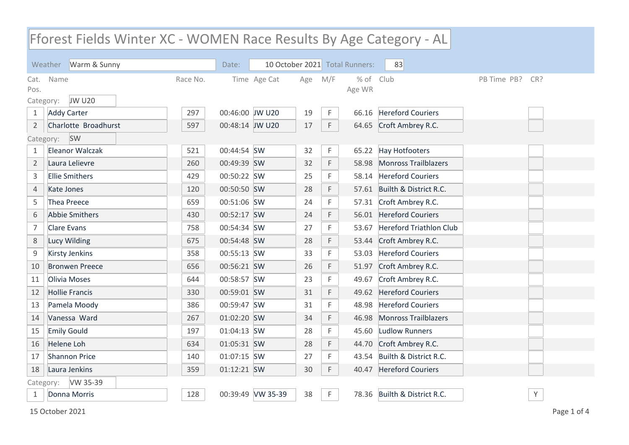## Fforest Fields Winter XC - WOMEN Race Results By Age Category - AL

|                   | Warm & Sunny<br>Weather |          | Date:           |                   |     |     | 10 October 2021 Total Runners: | 83                             |                    |  |
|-------------------|-------------------------|----------|-----------------|-------------------|-----|-----|--------------------------------|--------------------------------|--------------------|--|
| Cat.              | Name                    | Race No. |                 | Time Age Cat      | Age | M/F | $%$ of<br>Age WR               | Club                           | PB Time PB?<br>CR? |  |
| Pos.<br>Category: | <b>JW U20</b>           |          |                 |                   |     |     |                                |                                |                    |  |
| 1                 | <b>Addy Carter</b>      | 297      | 00:46:00 JW U20 |                   | 19  | F   | 66.16                          | <b>Hereford Couriers</b>       |                    |  |
| $\overline{2}$    | Charlotte Broadhurst    | 597      | 00:48:14 JW U20 |                   | 17  | F   | 64.65                          | Croft Ambrey R.C.              |                    |  |
|                   | SW<br>Category:         |          |                 |                   |     |     |                                |                                |                    |  |
| 1                 | <b>Eleanor Walczak</b>  | 521      | 00:44:54 SW     |                   | 32  | F   | 65.22                          | Hay Hotfooters                 |                    |  |
| $\overline{2}$    | Laura Lelievre          | 260      | 00:49:39 SW     |                   | 32  | F   | 58.98                          | <b>Monross Trailblazers</b>    |                    |  |
| 3                 | <b>Ellie Smithers</b>   | 429      | 00:50:22 SW     |                   | 25  | F   | 58.14                          | <b>Hereford Couriers</b>       |                    |  |
| 4                 | Kate Jones              | 120      | 00:50:50 SW     |                   | 28  | F   | 57.61                          | Builth & District R.C.         |                    |  |
| 5                 | <b>Thea Preece</b>      | 659      | 00:51:06 SW     |                   | 24  | F   | 57.31                          | Croft Ambrey R.C.              |                    |  |
| 6                 | <b>Abbie Smithers</b>   | 430      | 00:52:17 SW     |                   | 24  | F   | 56.01                          | <b>Hereford Couriers</b>       |                    |  |
| 7                 | <b>Clare Evans</b>      | 758      | 00:54:34 SW     |                   | 27  | F   | 53.67                          | <b>Hereford Triathlon Club</b> |                    |  |
| 8                 | Lucy Wilding            | 675      | 00:54:48 SW     |                   | 28  | F   | 53.44                          | Croft Ambrey R.C.              |                    |  |
| 9                 | <b>Kirsty Jenkins</b>   | 358      | 00:55:13 SW     |                   | 33  | F   | 53.03                          | <b>Hereford Couriers</b>       |                    |  |
| 10                | <b>Bronwen Preece</b>   | 656      | 00:56:21 SW     |                   | 26  | F   | 51.97                          | Croft Ambrey R.C.              |                    |  |
| 11                | Olivia Moses            | 644      | 00:58:57 SW     |                   | 23  | F   | 49.67                          | Croft Ambrey R.C.              |                    |  |
| 12                | <b>Hollie Francis</b>   | 330      | 00:59:01 SW     |                   | 31  | F   | 49.62                          | <b>Hereford Couriers</b>       |                    |  |
| 13                | Pamela Moody            | 386      | 00:59:47 SW     |                   | 31  | F   | 48.98                          | <b>Hereford Couriers</b>       |                    |  |
| 14                | Vanessa Ward            | 267      | 01:02:20 SW     |                   | 34  | F   | 46.98                          | <b>Monross Trailblazers</b>    |                    |  |
| 15                | <b>Emily Gould</b>      | 197      | 01:04:13 SW     |                   | 28  | F   | 45.60                          | <b>Ludlow Runners</b>          |                    |  |
| 16                | <b>Helene Loh</b>       | 634      | 01:05:31 SW     |                   | 28  | F   | 44.70                          | Croft Ambrey R.C.              |                    |  |
| 17                | <b>Shannon Price</b>    | 140      | 01:07:15 SW     |                   | 27  | F   | 43.54                          | Builth & District R.C.         |                    |  |
| 18                | Laura Jenkins           | 359      | 01:12:21 SW     |                   | 30  | F   | 40.47                          | <b>Hereford Couriers</b>       |                    |  |
|                   | VW 35-39<br>Category:   |          |                 |                   |     |     |                                |                                |                    |  |
| 1                 | Donna Morris            | 128      |                 | 00:39:49 VW 35-39 | 38  | F   |                                | 78.36 Builth & District R.C.   | $\mathsf Y$        |  |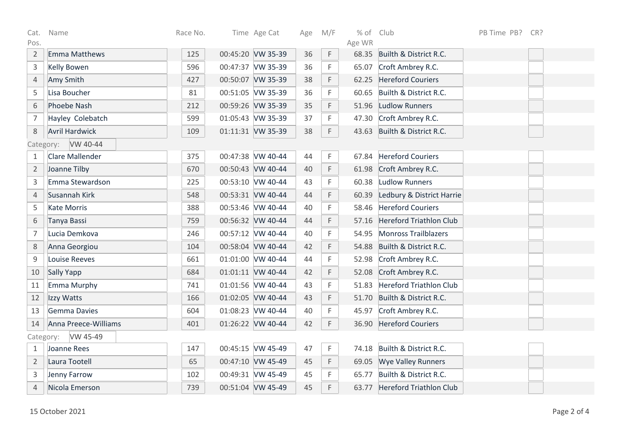| Cat.                  | Name                   | Race No. | Time Age Cat      | Age | M/F | % of Club |                                | PB Time PB? | CR? |  |
|-----------------------|------------------------|----------|-------------------|-----|-----|-----------|--------------------------------|-------------|-----|--|
| Pos.                  |                        |          |                   |     |     | Age WR    |                                |             |     |  |
| $\overline{2}$        | Emma Matthews          | 125      | 00:45:20 VW 35-39 | 36  | F   |           | 68.35 Builth & District R.C.   |             |     |  |
| $\mathsf 3$           | <b>Kelly Bowen</b>     | 596      | 00:47:37 VW 35-39 | 36  | F   | 65.07     | Croft Ambrey R.C.              |             |     |  |
| $\sqrt{4}$            | Amy Smith              | 427      | 00:50:07 VW 35-39 | 38  | F   | 62.25     | <b>Hereford Couriers</b>       |             |     |  |
| 5                     | Lisa Boucher           | 81       | 00:51:05 VW 35-39 | 36  | F   | 60.65     | Builth & District R.C.         |             |     |  |
| 6                     | <b>Phoebe Nash</b>     | 212      | 00:59:26 VW 35-39 | 35  | F   | 51.96     | <b>Ludlow Runners</b>          |             |     |  |
| $\overline{7}$        | Hayley Colebatch       | 599      | 01:05:43 VW 35-39 | 37  | F   | 47.30     | Croft Ambrey R.C.              |             |     |  |
| 8                     | <b>Avril Hardwick</b>  | 109      | 01:11:31 VW 35-39 | 38  | F.  |           | 43.63 Builth & District R.C.   |             |     |  |
| VW 40-44<br>Category: |                        |          |                   |     |     |           |                                |             |     |  |
| $\mathbf{1}$          | <b>Clare Mallender</b> | 375      | 00:47:38 VW 40-44 | 44  | F.  | 67.84     | <b>Hereford Couriers</b>       |             |     |  |
| $\overline{2}$        | Joanne Tilby           | 670      | 00:50:43 VW 40-44 | 40  | F   |           | 61.98 Croft Ambrey R.C.        |             |     |  |
| 3                     | Emma Stewardson        | 225      | 00:53:10 VW 40-44 | 43  | F   | 60.38     | Ludlow Runners                 |             |     |  |
| $\overline{4}$        | Susannah Kirk          | 548      | 00:53:31 VW 40-44 | 44  | F   | 60.39     | Ledbury & District Harrie      |             |     |  |
| 5                     | <b>Kate Morris</b>     | 388      | 00:53:46 VW 40-44 | 40  | F   | 58.46     | <b>Hereford Couriers</b>       |             |     |  |
| 6                     | Tanya Bassi            | 759      | 00:56:32 VW 40-44 | 44  | F   | 57.16     | <b>Hereford Triathlon Club</b> |             |     |  |
| $\overline{7}$        | Lucia Demkova          | 246      | 00:57:12 VW 40-44 | 40  | F   | 54.95     | <b>Monross Trailblazers</b>    |             |     |  |
| 8                     | Anna Georgiou          | 104      | 00:58:04 VW 40-44 | 42  | F   | 54.88     | Builth & District R.C.         |             |     |  |
| $\mathsf 9$           | <b>Louise Reeves</b>   | 661      | 01:01:00 VW 40-44 | 44  | F   |           | 52.98 Croft Ambrey R.C.        |             |     |  |
| 10                    | Sally Yapp             | 684      | 01:01:11 VW 40-44 | 42  | F   | 52.08     | Croft Ambrey R.C.              |             |     |  |
| 11                    | Emma Murphy            | 741      | 01:01:56 VW 40-44 | 43  | F   | 51.83     | <b>Hereford Triathlon Club</b> |             |     |  |
| 12                    | Izzy Watts             | 166      | 01:02:05 VW 40-44 | 43  | F   | 51.70     | Builth & District R.C.         |             |     |  |
| 13                    | Gemma Davies           | 604      | 01:08:23 VW 40-44 | 40  | F   | 45.97     | Croft Ambrey R.C.              |             |     |  |
| 14                    | Anna Preece-Williams   | 401      | 01:26:22 VW 40-44 | 42  | F   | 36.90     | <b>Hereford Couriers</b>       |             |     |  |
| VW 45-49<br>Category: |                        |          |                   |     |     |           |                                |             |     |  |
| 1                     | Joanne Rees            | 147      | 00:45:15 VW 45-49 | 47  | F.  | 74.18     | Builth & District R.C.         |             |     |  |
| $\overline{2}$        | Laura Tootell          | 65       | 00:47:10 VW 45-49 | 45  | F   | 69.05     | <b>Wye Valley Runners</b>      |             |     |  |
| 3                     | Jenny Farrow           | 102      | 00:49:31 VW 45-49 | 45  | F   | 65.77     | Builth & District R.C.         |             |     |  |
| $\overline{4}$        | Nicola Emerson         | 739      | 00:51:04 VW 45-49 | 45  | F   | 63.77     | <b>Hereford Triathlon Club</b> |             |     |  |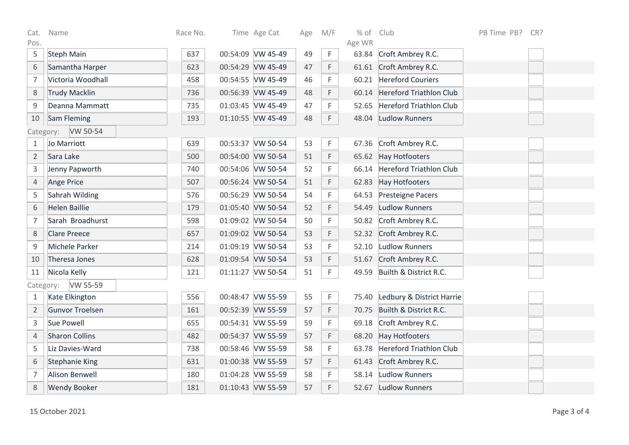| Cat.           | Name                   | Race No. |                   | Time Age Cat | Age | M/F         | $%$ of          | Club                            | PB Time PB? | CR? |
|----------------|------------------------|----------|-------------------|--------------|-----|-------------|-----------------|---------------------------------|-------------|-----|
| Pos.<br>5      | <b>Steph Main</b>      | 637      | 00:54:09 VW 45-49 |              | 49  | $\mathsf F$ | Age WR<br>63.84 | Croft Ambrey R.C.               |             |     |
| 6              | Samantha Harper        | 623      | 00:54:29 VW 45-49 |              | 47  | F           |                 | 61.61 Croft Ambrey R.C.         |             |     |
| $\overline{7}$ | Victoria Woodhall      | 458      | 00:54:55 VW 45-49 |              | 46  | F           |                 | 60.21 Hereford Couriers         |             |     |
| 8              | <b>Trudy Macklin</b>   | 736      | 00:56:39 VW 45-49 |              | 48  | F           | 60.14           | Hereford Triathlon Club         |             |     |
| $\mathsf 9$    | Deanna Mammatt         | 735      | 01:03:45 VW 45-49 |              | 47  | F           | 52.65           | Hereford Triathlon Club         |             |     |
| 10             | Sam Fleming            | 193      | 01:10:55 VW 45-49 |              | 48  | F.          |                 | 48.04 Ludlow Runners            |             |     |
|                | Category: VW 50-54     |          |                   |              |     |             |                 |                                 |             |     |
| 1              | Jo Marriott            | 639      | 00:53:37 VW 50-54 |              | 53  | F           | 67.36           | Croft Ambrey R.C.               |             |     |
| $\overline{2}$ | Sara Lake              | 500      | 00:54:00 VW 50-54 |              | 51  | F           | 65.62           | Hay Hotfooters                  |             |     |
| 3              | Jenny Papworth         | 740      | 00:54:06 VW 50-54 |              | 52  | F           |                 | 66.14 Hereford Triathlon Club   |             |     |
| $\overline{4}$ | <b>Ange Price</b>      | 507      | 00:56:24 VW 50-54 |              | 51  | F           |                 | 62.83 Hay Hotfooters            |             |     |
| 5              | Sahrah Wilding         | 576      | 00:56:29 VW 50-54 |              | 54  | F           | 64.53           | Presteigne Pacers               |             |     |
| 6              | <b>Helen Baillie</b>   | 179      | 01:05:40 VW 50-54 |              | 52  | F           |                 | 54.49 Ludlow Runners            |             |     |
| $\overline{7}$ | Sarah Broadhurst       | 598      | 01:09:02 VW 50-54 |              | 50  | F           |                 | 50.82 Croft Ambrey R.C.         |             |     |
| 8              | <b>Clare Preece</b>    | 657      | 01:09:02 VW 50-54 |              | 53  | F           |                 | 52.32 Croft Ambrey R.C.         |             |     |
| 9              | Michele Parker         | 214      | 01:09:19 VW 50-54 |              | 53  | F.          |                 | 52.10 Ludlow Runners            |             |     |
| 10             | Theresa Jones          | 628      | 01:09:54 VW 50-54 |              | 53  | F           |                 | 51.67 Croft Ambrey R.C.         |             |     |
| 11             | Nicola Kelly           | 121      | 01:11:27 VW 50-54 |              | 51  | F           | 49.59           | Builth & District R.C.          |             |     |
| Category:      | VW 55-59               |          |                   |              |     |             |                 |                                 |             |     |
| 1              | Kate Elkington         | 556      | 00:48:47 VW 55-59 |              | 55  | F           |                 | 75.40 Ledbury & District Harrie |             |     |
| $\overline{2}$ | <b>Gunvor Troelsen</b> | 161      | 00:52:39 VW 55-59 |              | 57  | $\mathsf F$ | 70.75           | Builth & District R.C.          |             |     |
| 3              | <b>Sue Powell</b>      | 655      | 00:54:31 VW 55-59 |              | 59  | F           | 69.18           | Croft Ambrey R.C.               |             |     |
| $\sqrt{4}$     | <b>Sharon Collins</b>  | 482      | 00:54:37 VW 55-59 |              | 57  | F           |                 | 68.20 Hay Hotfooters            |             |     |
| 5              | Liz Davies-Ward        | 738      | 00:58:46 VW 55-59 |              | 58  | F           | 63.78           | Hereford Triathlon Club         |             |     |
| 6              | <b>Stephanie King</b>  | 631      | 01:00:38 VW 55-59 |              | 57  | F           | 61.43           | Croft Ambrey R.C.               |             |     |
| $\overline{7}$ | <b>Alison Benwell</b>  | 180      | 01:04:28 VW 55-59 |              | 58  | F.          |                 | 58.14 Ludlow Runners            |             |     |
| 8              | <b>Wendy Booker</b>    | 181      | 01:10:43 VW 55-59 |              | 57  | F           |                 | 52.67 Ludlow Runners            |             |     |